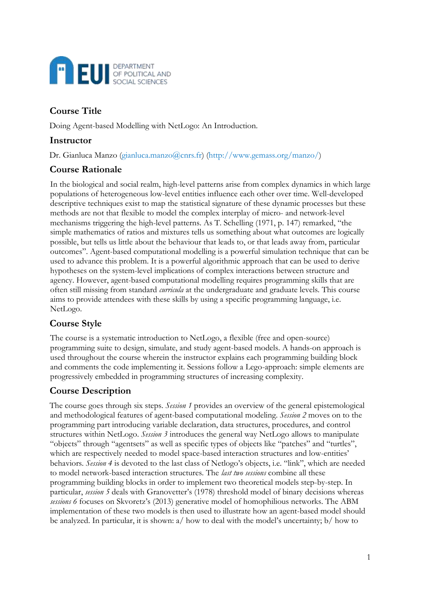

# **Course Title**

Doing Agent-based Modelling with NetLogo: An Introduction.

### **Instructor**

Dr. Gianluca Manzo (gianluca.manzo@cnrs.fr) (http://www.gemass.org/manzo/)

### **Course Rationale**

In the biological and social realm, high-level patterns arise from complex dynamics in which large populations of heterogeneous low-level entities influence each other over time. Well-developed descriptive techniques exist to map the statistical signature of these dynamic processes but these methods are not that flexible to model the complex interplay of micro- and network-level mechanisms triggering the high-level patterns. As T. Schelling (1971, p. 147) remarked, "the simple mathematics of ratios and mixtures tells us something about what outcomes are logically possible, but tells us little about the behaviour that leads to, or that leads away from, particular outcomes". Agent-based computational modelling is a powerful simulation technique that can be used to advance this problem. It is a powerful algorithmic approach that can be used to derive hypotheses on the system-level implications of complex interactions between structure and agency. However, agent-based computational modelling requires programming skills that are often still missing from standard *curricula* at the undergraduate and graduate levels. This course aims to provide attendees with these skills by using a specific programming language, i.e. NetLogo.

### **Course Style**

The course is a systematic introduction to NetLogo, a flexible (free and open-source) programming suite to design, simulate, and study agent-based models. A hands-on approach is used throughout the course wherein the instructor explains each programming building block and comments the code implementing it. Sessions follow a Lego-approach: simple elements are progressively embedded in programming structures of increasing complexity.

## **Course Description**

The course goes through six steps. *Session 1* provides an overview of the general epistemological and methodological features of agent-based computational modeling. *Session 2* moves on to the programming part introducing variable declaration, data structures, procedures, and control structures within NetLogo. *Session 3* introduces the general way NetLogo allows to manipulate "objects" through "agentsets" as well as specific types of objects like "patches" and "turtles", which are respectively needed to model space-based interaction structures and low-entities' behaviors. *Session 4* is devoted to the last class of Netlogo's objects, i.e. "link", which are needed to model network-based interaction structures. The *last two sessions* combine all these programming building blocks in order to implement two theoretical models step-by-step. In particular, *session 5* deals with Granovetter's (1978) threshold model of binary decisions whereas *sessions 6* focuses on Skvoretz's (2013) generative model of homophilious networks. The ABM implementation of these two models is then used to illustrate how an agent-based model should be analyzed. In particular, it is shown: a/ how to deal with the model's uncertainty; b/ how to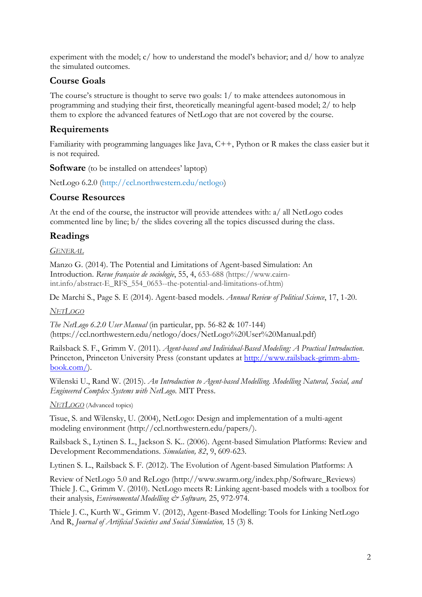experiment with the model;  $c/$  how to understand the model's behavior; and  $d/$  how to analyze the simulated outcomes.

### **Course Goals**

The course's structure is thought to serve two goals: 1/ to make attendees autonomous in programming and studying their first, theoretically meaningful agent-based model; 2/ to help them to explore the advanced features of NetLogo that are not covered by the course.

### **Requirements**

Familiarity with programming languages like Java, C++, Python or R makes the class easier but it is not required.

**Software** (to be installed on attendees' laptop)

NetLogo 6.2.0 (http://ccl.northwestern.edu/netlogo)

#### **Course Resources**

At the end of the course, the instructor will provide attendees with: a/ all NetLogo codes commented line by line; b/ the slides covering all the topics discussed during the class.

### **Readings**

*GENERAL*

Manzo G. (2014). The Potential and Limitations of Agent-based Simulation: An Introduction. *Revue française de sociologie*, 55, 4, 653-688 (https://www.cairnint.info/abstract-E\_RFS\_554\_0653--the-potential-and-limitations-of.htm)

De Marchi S., Page S. E (2014). Agent-based models. *Annual Review of Political Science*, 17, 1-20.

#### *NETLOGO*

*The NetLogo 6.2.0 User Manual* (in particular, pp. 56-82 & 107-144) (https://ccl.northwestern.edu/netlogo/docs/NetLogo%20User%20Manual.pdf)

Railsback S. F., Grimm V. (2011). *Agent-based and Individual-Based Modeling: A Practical Introduction*. Princeton, Princeton University Press (constant updates at [http://www.railsback-grimm-abm](http://www.railsback-grimm-abm-book.com/)[book.com/\)](http://www.railsback-grimm-abm-book.com/).

Wilenski U., Rand W. (2015). *An Introduction to Agent-based Modelling. Modelling Natural, Social, and Engineered Complex Systems with NetLogo*. MIT Press.

*NETLOGO* (Advanced topics)

Tisue, S. and Wilensky, U. (2004), NetLogo: Design and implementation of a multi-agent modeling environment (http://ccl.northwestern.edu/papers/).

Railsback S., Lytinen S. L., Jackson S. K.. (2006). Agent-based Simulation Platforms: Review and Development Recommendations. *Simulation, 82*, 9, 609-623.

Lytinen S. L., Railsback S. F. (2012). The Evolution of Agent-based Simulation Platforms: A

Review of NetLogo 5.0 and ReLogo (http://www.swarm.org/index.php/Software\_Reviews) Thiele J. C., Grimm V. (2010). NetLogo meets R: Linking agent-based models with a toolbox for their analysis, *Environmental Modelling & Software*, 25, 972-974.

Thiele J. C., Kurth W., Grimm V. (2012), Agent-Based Modelling: Tools for Linking NetLogo And R, *Journal of Artificial Societies and Social Simulation,* 15 (3) 8.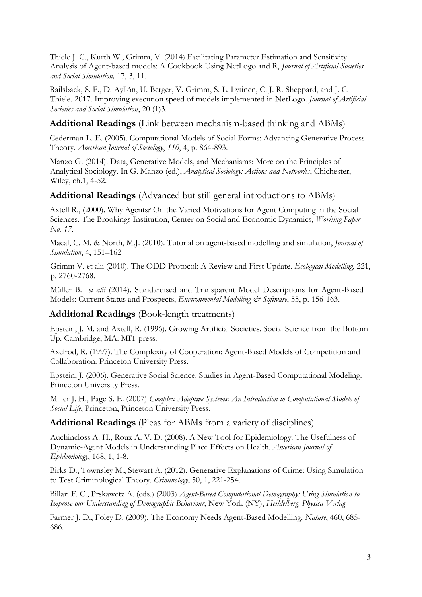Thiele J. C., Kurth W., Grimm, V. (2014) Facilitating Parameter Estimation and Sensitivity Analysis of Agent-based models: A Cookbook Using NetLogo and R, *Journal of Artificial Societies and Social Simulation,* 17, 3, 11.

Railsback, S. F., D. Ayllón, U. Berger, V. Grimm, S. L. Lytinen, C. J. R. Sheppard, and J. C. Thiele. 2017. Improving execution speed of models implemented in NetLogo. *Journal of Artificial Societies and Social Simulation*, 20 (1)3.

### **Additional Readings** (Link between mechanism-based thinking and ABMs)

Cederman L.-E. (2005). Computational Models of Social Forms: Advancing Generative Process Theory. *American Journal of Sociology*, *110*, 4, p. 864-893.

Manzo G. (2014). Data, Generative Models, and Mechanisms: More on the Principles of Analytical Sociology. In G. Manzo (ed.), *Analytical Sociology: Actions and Networks*, Chichester, Wiley, ch.1, 4-52.

#### **Additional Readings** (Advanced but still general introductions to ABMs)

Axtell R., (2000). Why Agents? On the Varied Motivations for Agent Computing in the Social Sciences. The Brookings Institution, Center on Social and Economic Dynamics, *Working Paper No. 17*.

Macal, C. M. & North, M.J. (2010). Tutorial on agent-based modelling and simulation, *Journal of Simulation*, 4, 151–162

Grimm V. et alii (2010). The ODD Protocol: A Review and First Update. *Ecological Modelling*, 221, p. 2760-2768.

Müller B. *et alii* (2014). Standardised and Transparent Model Descriptions for Agent-Based Models: Current Status and Prospects, *Environmental Modelling & Software*, 55, p. 156-163.

### **Additional Readings** (Book-length treatments)

Epstein, J. M. and Axtell, R. (1996). Growing Artificial Societies. Social Science from the Bottom Up. Cambridge, MA: MIT press.

Axelrod, R. (1997). The Complexity of Cooperation: Agent-Based Models of Competition and Collaboration. Princeton University Press.

Epstein, J. (2006). Generative Social Science: Studies in Agent-Based Computational Modeling. Princeton University Press.

Miller J. H., Page S. E. (2007) *Complex Adaptive Systems: An Introduction to Computational Models of Social Life*, Princeton, Princeton University Press.

#### **Additional Readings** (Pleas for ABMs from a variety of disciplines)

Auchincloss A. H., Roux A. V. D. (2008). A New Tool for Epidemiology: The Usefulness of Dynamic-Agent Models in Understanding Place Effects on Health. *American Journal of Epidemiology*, 168, 1, 1-8.

Birks D., Townsley M., Stewart A. (2012). Generative Explanations of Crime: Using Simulation to Test Criminological Theory. *Criminology*, 50, 1, 221-254.

Billari F. C., Prskawetz A. (eds.) (2003) *Agent-Based Computational Demography: Using Simulation to Improve our Understanding of Demographic Behaviour*, New York (NY), *Heildelberg, Physica Verlag* 

Farmer J. D., Foley D. (2009). The Economy Needs Agent-Based Modelling. *Nature*, 460, 685- 686.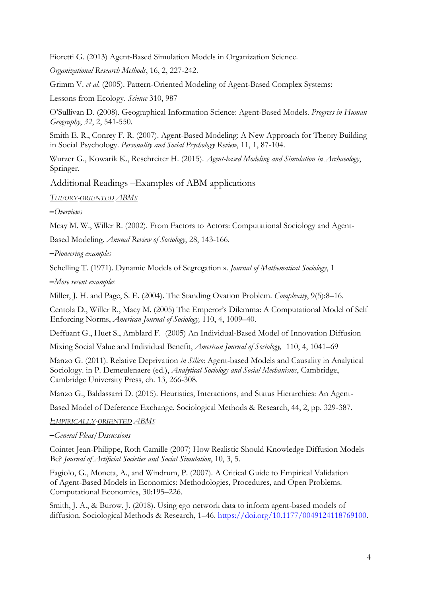Fioretti G. (2013) Agent-Based Simulation Models in Organization Science.

*Organizational Research Methods*, 16, 2, 227-242.

Grimm V. *et al.* (2005). Pattern-Oriented Modeling of Agent-Based Complex Systems:

Lessons from Ecology. *Science* 310, 987

O'Sullivan D. (2008). Geographical Information Science: Agent-Based Models. *Progress in Human Geography*, *32*, 2, 541-550.

Smith E. R., Conrey F. R. (2007). Agent-Based Modeling: A New Approach for Theory Building in Social Psychology. *Personality and Social Psychology Review*, 11, 1, 87-104.

Wurzer G., Kowarik K., Reschreiter H. (2015). *Agent-based Modeling and Simulation in Archaeology*, Springer.

Additional Readings –Examples of ABM applications

*THEORY-ORIENTED ABMS*

**–***Overviews* 

Mcay M. W., Willer R. (2002). From Factors to Actors: Computational Sociology and Agent-

Based Modeling. *Annual Review of Sociology*, 28, 143-166.

**–***Pioneering examples* 

Schelling T. (1971). Dynamic Models of Segregation ». *Journal of Mathematical Sociology*, 1

**–***More recent examples* 

Miller, J. H. and Page, S. E. (2004). The Standing Ovation Problem. *Complexity*, 9(5):8–16.

Centola D., Willer R., Macy M. (2005) The Emperor's Dilemma: A Computational Model of Self Enforcing Norms, *American Journal of Sociology,* 110, 4, 1009–40.

Deffuant G., Huet S., Amblard F. (2005) An Individual-Based Model of Innovation Diffusion

Mixing Social Value and Individual Benefit, *American Journal of Sociology,* 110, 4, 1041–69

Manzo G. (2011). Relative Deprivation *in Silico*: Agent-based Models and Causality in Analytical Sociology. in P. Demeulenaere (ed.), *Analytical Sociology and Social Mechanisms*, Cambridge, Cambridge University Press, ch. 13, 266-308.

Manzo G., Baldassarri D. (2015). Heuristics, Interactions, and Status Hierarchies: An Agent-

Based Model of Deference Exchange. Sociological Methods & Research, 44, 2, pp. 329-387.

*EMPIRICALLY-ORIENTED ABMS*

#### **–***General Pleas/Discussions*

Cointet Jean-Philippe, Roth Camille (2007) How Realistic Should Knowledge Diffusion Models Be? *Journal of Artificial Societies and Social Simulation*, 10, 3, 5.

Fagiolo, G., Moneta, A., and Windrum, P. (2007). A Critical Guide to Empirical Validation of Agent-Based Models in Economics: Methodologies, Procedures, and Open Problems. Computational Economics, 30:195–226.

Smith, J. A., & Burow, J. (2018). Using ego network data to inform agent-based models of diffusion. Sociological Methods & Research, 1–46. https://doi.org/10.1177/0049124118769100.